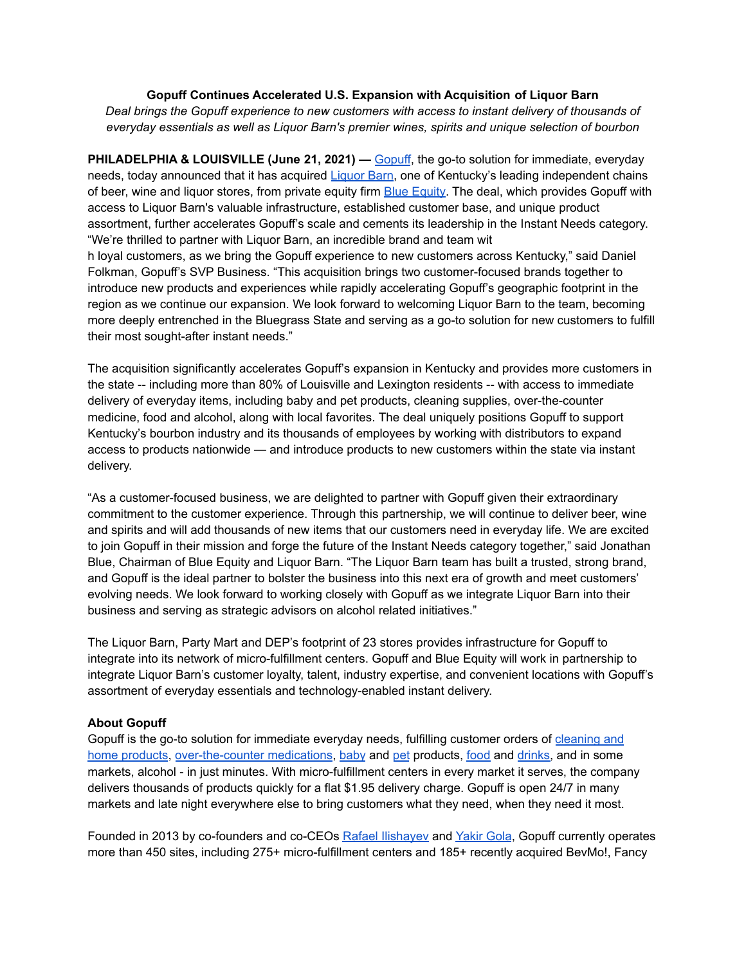## **Gopuff Continues Accelerated U.S. Expansion with Acquisition of Liquor Barn**

*Deal brings the Gopuff experience to new customers with access to instant delivery of thousands of everyday essentials as well as Liquor Barn's premier wines, spirits and unique selection of bourbon*

**PHILADELPHIA & LOUISVILLE (June 21, 2021) —** [Gopuff](https://gopuff.com/), the go-to solution for immediate, everyday needs, today announced that it has acquired [Liquor](https://liquorbarn.com/) Barn, one of Kentucky's leading independent chains of beer, wine and liquor stores, from private equity firm Blue [Equity.](http://blueequity.com/) The deal, which provides Gopuff with access to Liquor Barn's valuable infrastructure, established customer base, and unique product assortment, further accelerates Gopuff's scale and cements its leadership in the Instant Needs category. "We're thrilled to partner with Liquor Barn, an incredible brand and team wit h loyal customers, as we bring the Gopuff experience to new customers across Kentucky," said Daniel Folkman, Gopuff's SVP Business. "This acquisition brings two customer-focused brands together to introduce new products and experiences while rapidly accelerating Gopuff's geographic footprint in the

region as we continue our expansion. We look forward to welcoming Liquor Barn to the team, becoming more deeply entrenched in the Bluegrass State and serving as a go-to solution for new customers to fulfill their most sought-after instant needs."

The acquisition significantly accelerates Gopuff's expansion in Kentucky and provides more customers in the state -- including more than 80% of Louisville and Lexington residents -- with access to immediate delivery of everyday items, including baby and pet products, cleaning supplies, over-the-counter medicine, food and alcohol, along with local favorites. The deal uniquely positions Gopuff to support Kentucky's bourbon industry and its thousands of employees by working with distributors to expand access to products nationwide — and introduce products to new customers within the state via instant delivery.

"As a customer-focused business, we are delighted to partner with Gopuff given their extraordinary commitment to the customer experience. Through this partnership, we will continue to deliver beer, wine and spirits and will add thousands of new items that our customers need in everyday life. We are excited to join Gopuff in their mission and forge the future of the Instant Needs category together," said Jonathan Blue, Chairman of Blue Equity and Liquor Barn. "The Liquor Barn team has built a trusted, strong brand, and Gopuff is the ideal partner to bolster the business into this next era of growth and meet customers' evolving needs. We look forward to working closely with Gopuff as we integrate Liquor Barn into their business and serving as strategic advisors on alcohol related initiatives."

The Liquor Barn, Party Mart and DEP's footprint of 23 stores provides infrastructure for Gopuff to integrate into its network of micro-fulfillment centers. Gopuff and Blue Equity will work in partnership to integrate Liquor Barn's customer loyalty, talent, industry expertise, and convenient locations with Gopuff's assortment of everyday essentials and technology-enabled instant delivery.

## **About Gopuff**

Gopuff is the go-to solution for immediate everyday needs, fulfilling customer orders of [cleaning](https://gopuff.com/cleaning) and home [products](https://gopuff.com/cleaning), [over-the-counter](https://gopuff.com/health) medications, [baby](https://gopuff.com/baby) and [pet](https://gopuff.com/pets) products, [food](https://gopuff.com/grocery) and [drinks,](https://gopuff.com/drinks) and in some markets, alcohol - in just minutes. With micro-fulfillment centers in every market it serves, the company delivers thousands of products quickly for a flat \$1.95 delivery charge. Gopuff is open 24/7 in many markets and late night everywhere else to bring customers what they need, when they need it most.

Founded in 2013 by co-founders and co-CEOs Rafael [Ilishayev](https://www.linkedin.com/public-profile/in/rafaelilishayev) and [Yakir](https://www.linkedin.com/in/yakir-gola-3a23754b/) Gola, Gopuff currently operates more than 450 sites, including 275+ micro-fulfillment centers and 185+ recently acquired BevMo!, Fancy